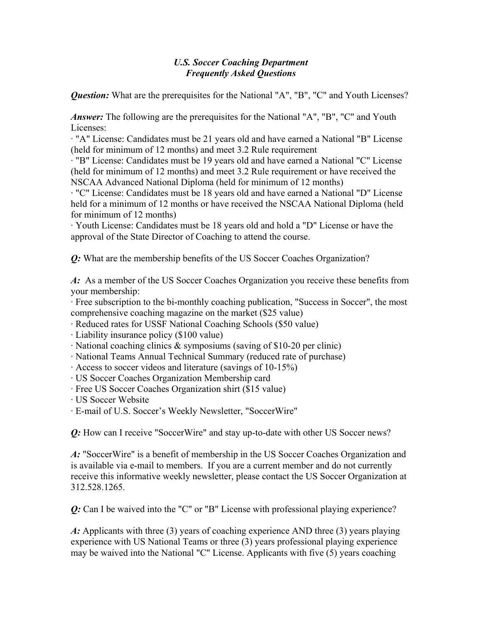## *U.S. Soccer Coaching Department Frequently Asked Questions*

*Question:* What are the prerequisites for the National "A", "B", "C" and Youth Licenses?

*Answer*: The following are the prerequisites for the National "A", "B", "C" and Youth Licenses:

· "A" License: Candidates must be 21 years old and have earned a National "B" License (held for minimum of 12 months) and meet 3.2 Rule requirement

· "B" License: Candidates must be 19 years old and have earned a National "C" License (held for minimum of 12 months) and meet 3.2 Rule requirement or have received the NSCAA Advanced National Diploma (held for minimum of 12 months)

· "C" License: Candidates must be 18 years old and have earned a National "D" License held for a minimum of 12 months or have received the NSCAA National Diploma (held for minimum of 12 months)

· Youth License: Candidates must be 18 years old and hold a "D" License or have the approval of the State Director of Coaching to attend the course.

*Q:* What are the membership benefits of the US Soccer Coaches Organization?

*A:* As a member of the US Soccer Coaches Organization you receive these benefits from your membership:

· Free subscription to the bi-monthly coaching publication, "Success in Soccer", the most comprehensive coaching magazine on the market (\$25 value)

· Reduced rates for USSF National Coaching Schools (\$50 value)

· Liability insurance policy (\$100 value)

· National coaching clinics & symposiums (saving of \$10-20 per clinic)

· National Teams Annual Technical Summary (reduced rate of purchase)

· Access to soccer videos and literature (savings of 10-15%)

· US Soccer Coaches Organization Membership card

· Free US Soccer Coaches Organization shirt (\$15 value)

· US Soccer Website

· E-mail of U.S. Soccer's Weekly Newsletter, "SoccerWire"

*Q:* How can I receive "SoccerWire" and stay up-to-date with other US Soccer news?

*A:* "SoccerWire" is a benefit of membership in the US Soccer Coaches Organization and is available via e-mail to members. If you are a current member and do not currently receive this informative weekly newsletter, please contact the US Soccer Organization at 312.528.1265.

*Q:* Can I be waived into the "C" or "B" License with professional playing experience?

*A:* Applicants with three (3) years of coaching experience AND three (3) years playing experience with US National Teams or three (3) years professional playing experience may be waived into the National "C" License. Applicants with five (5) years coaching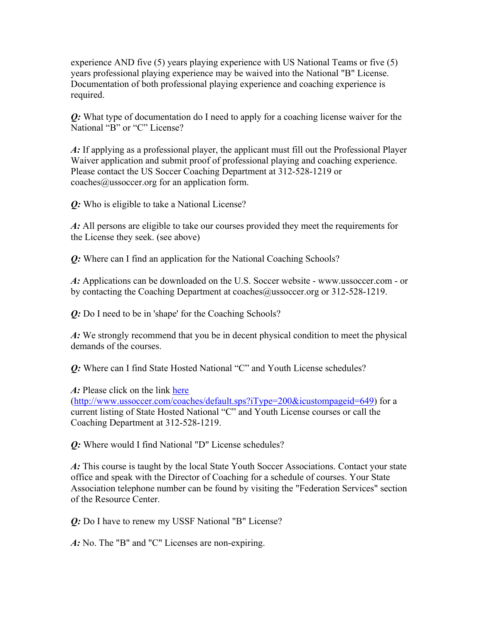experience AND five (5) years playing experience with US National Teams or five (5) years professional playing experience may be waived into the National "B" License. Documentation of both professional playing experience and coaching experience is required.

*Q:* What type of documentation do I need to apply for a coaching license waiver for the National "B" or "C" License?

*A:* If applying as a professional player, the applicant must fill out the Professional Player Waiver application and submit proof of professional playing and coaching experience. Please contact the US Soccer Coaching Department at 312-528-1219 or coaches@ussoccer.org for an application form.

*Q:* Who is eligible to take a National License?

*A:* All persons are eligible to take our courses provided they meet the requirements for the License they seek. (see above)

*Q:* Where can I find an application for the National Coaching Schools?

*A:* Applications can be downloaded on the U.S. Soccer website - www.ussoccer.com - or by contacting the Coaching Department at coaches@ussoccer.org or 312-528-1219.

*Q:* Do I need to be in 'shape' for the Coaching Schools?

*A:* We strongly recommend that you be in decent physical condition to meet the physical demands of the courses.

*Q:* Where can I find State Hosted National "C" and Youth License schedules?

*A:* Please click on the link [here](http://www.ussoccer.com/coaches/default.sps?iType=200&icustompageid=649)

(<http://www.ussoccer.com/coaches/default.sps?iType=200&icustompageid=649>) for a current listing of State Hosted National "C" and Youth License courses or call the Coaching Department at 312-528-1219.

*Q:* Where would I find National "D" License schedules?

*A:* This course is taught by the local State Youth Soccer Associations. Contact your state office and speak with the Director of Coaching for a schedule of courses. Your State Association telephone number can be found by visiting the "Federation Services" section of the Resource Center.

*Q:* Do I have to renew my USSF National "B" License?

*A:* No. The "B" and "C" Licenses are non-expiring.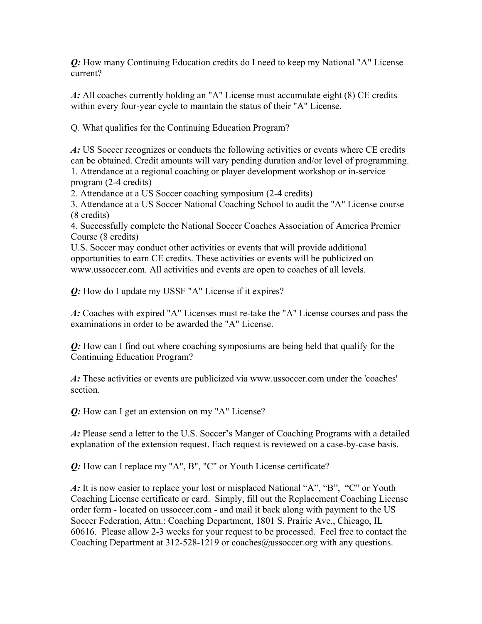*Q:* How many Continuing Education credits do I need to keep my National "A" License current?

*A:* All coaches currently holding an "A" License must accumulate eight (8) CE credits within every four-year cycle to maintain the status of their "A" License.

Q. What qualifies for the Continuing Education Program?

*A:* US Soccer recognizes or conducts the following activities or events where CE credits can be obtained. Credit amounts will vary pending duration and/or level of programming. 1. Attendance at a regional coaching or player development workshop or in-service program (2-4 credits)

2. Attendance at a US Soccer coaching symposium (2-4 credits)

3. Attendance at a US Soccer National Coaching School to audit the "A" License course (8 credits)

4. Successfully complete the National Soccer Coaches Association of America Premier Course (8 credits)

U.S. Soccer may conduct other activities or events that will provide additional opportunities to earn CE credits. These activities or events will be publicized on www.ussoccer.com. All activities and events are open to coaches of all levels.

*Q:* How do I update my USSF "A" License if it expires?

*A:* Coaches with expired "A" Licenses must re-take the "A" License courses and pass the examinations in order to be awarded the "A" License.

*Q:* How can I find out where coaching symposiums are being held that qualify for the Continuing Education Program?

*A:* These activities or events are publicized via www.ussoccer.com under the 'coaches' section.

*Q:* How can I get an extension on my "A" License?

*A:* Please send a letter to the U.S. Soccer's Manger of Coaching Programs with a detailed explanation of the extension request. Each request is reviewed on a case-by-case basis.

*Q:* How can I replace my "A", B", "C" or Youth License certificate?

*A*: It is now easier to replace your lost or misplaced National "A", "B", "C" or Youth Coaching License certificate or card. Simply, fill out the Replacement Coaching License order form - located on ussoccer.com - and mail it back along with payment to the US Soccer Federation, Attn.: Coaching Department, 1801 S. Prairie Ave., Chicago, IL 60616. Please allow 2-3 weeks for your request to be processed. Feel free to contact the Coaching Department at 312-528-1219 or coaches@ussoccer.org with any questions.